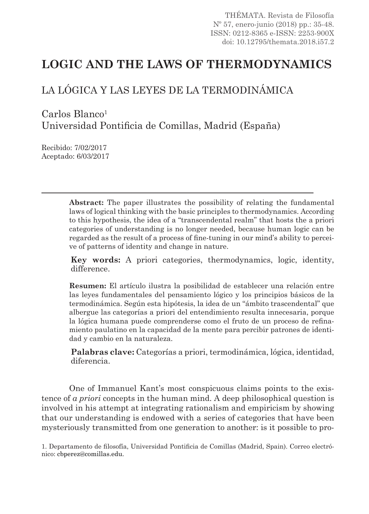THÉMATA. Revista de Filosofía Nº 57, enero-junio (2018) pp.: 35-48. ISSN: 0212-8365 e-ISSN: 2253-900X doi: 10.12795/themata.2018.i57.2

# **LOGIC AND THE LAWS OF THERMODYNAMICS**

## LA LÓGICA Y LAS LEYES DE LA TERMODINÁMICA

Carlos Blanco<sup>1</sup> Universidad Pontificia de Comillas, Madrid (España)

Recibido: 7/02/2017 Aceptado: 6/03/2017

> **Abstract:** The paper illustrates the possibility of relating the fundamental laws of logical thinking with the basic principles to thermodynamics. According to this hypothesis, the idea of a "transcendental realm" that hosts the a priori categories of understanding is no longer needed, because human logic can be regarded as the result of a process of fine-tuning in our mind's ability to perceive of patterns of identity and change in nature.

> **Key words:** A priori categories, thermodynamics, logic, identity, difference.

> **Resumen:** El artículo ilustra la posibilidad de establecer una relación entre las leyes fundamentales del pensamiento lógico y los principios básicos de la termodinámica. Según esta hipótesis, la idea de un "ámbito trascendental" que albergue las categorías a priori del entendimiento resulta innecesaria, porque la lógica humana puede comprenderse como el fruto de un proceso de refinamiento paulatino en la capacidad de la mente para percibir patrones de identidad y cambio en la naturaleza.

> **Palabras clave:** Categorías a priori, termodinámica, lógica, identidad, diferencia.

One of Immanuel Kant's most conspicuous claims points to the existence of *a priori* concepts in the human mind. A deep philosophical question is involved in his attempt at integrating rationalism and empiricism by showing that our understanding is endowed with a series of categories that have been mysteriously transmitted from one generation to another: is it possible to pro-

1. Departamento de filosofía, Universidad Pontificia de Comillas (Madrid, Spain). Correo electrónico: cbperez@comillas.edu.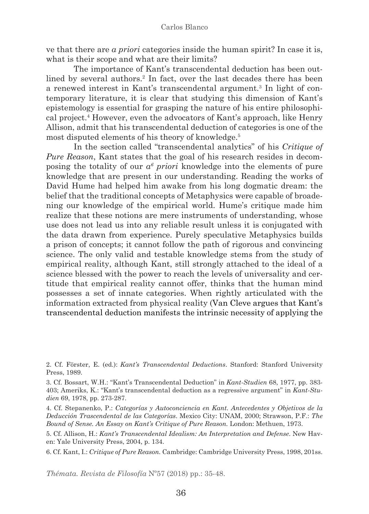ve that there are *a priori* categories inside the human spirit? In case it is, what is their scope and what are their limits?

The importance of Kant's transcendental deduction has been outlined by several authors.<sup>2</sup> In fact, over the last decades there has been a renewed interest in Kant's transcendental argument.<sup>3</sup> In light of contemporary literature, it is clear that studying this dimension of Kant's epistemology is essential for grasping the nature of his entire philosophical project.<sup>4</sup> However, even the advocators of Kant's approach, like Henry Allison, admit that his transcendental deduction of categories is one of the most disputed elements of his theory of knowledge.<sup>5</sup>

In the section called "transcendental analytics" of his *Critique of Pure Reason*, Kant states that the goal of his research resides in decomposing the totality of our  $a^{\epsilon}$  *priori* knowledge into the elements of pure knowledge that are present in our understanding. Reading the works of David Hume had helped him awake from his long dogmatic dream: the belief that the traditional concepts of Metaphysics were capable of broadening our knowledge of the empirical world. Hume's critique made him realize that these notions are mere instruments of understanding, whose use does not lead us into any reliable result unless it is conjugated with the data drawn from experience. Purely speculative Metaphysics builds a prison of concepts; it cannot follow the path of rigorous and convincing science. The only valid and testable knowledge stems from the study of empirical reality, although Kant, still strongly attached to the ideal of a science blessed with the power to reach the levels of universality and certitude that empirical reality cannot offer, thinks that the human mind possesses a set of innate categories. When rightly articulated with the information extracted from physical reality (Van Cleve argues that Kant's transcendental deduction manifests the intrinsic necessity of applying the

<sup>2.</sup> Cf. Förster, E. (ed.): *Kant's Transcendental Deductions*. Stanford: Stanford University Press, 1989.

<sup>3.</sup> Cf. Bossart, W.H.: "Kant's Transcendental Deduction" in *Kant-Studien* 68, 1977, pp. 383- 403; Ameriks, K.: "Kant's transcendental deduction as a regressive argument" in *Kant-Studien* 69, 1978, pp. 273-287.

<sup>4.</sup> Cf. Stepanenko, P.: *Categorías y Autoconciencia en Kant. Antecedentes y Objetivos de la Deducción Trascendental de las Categorías*. Mexico City: UNAM, 2000; Strawson, P.F.: *The Bound of Sense. An Essay on Kant's Critique of Pure Reason.* London: Methuen, 1973.

<sup>5.</sup> Cf. Allison, H.: *Kant's Transcendental Idealism: An Interpretation and Defense*. New Haven: Yale University Press, 2004, p. 134.

<sup>6.</sup> Cf. Kant, I.: *Critique of Pure Reason.* Cambridge: Cambridge University Press, 1998, 201ss.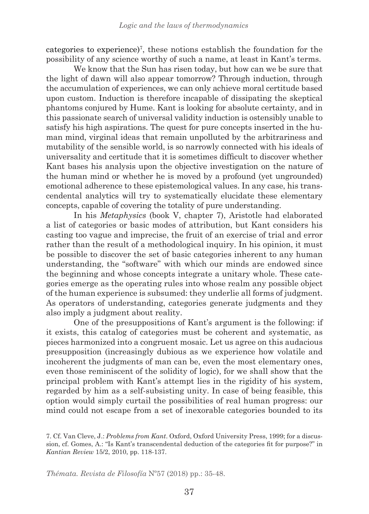categories to experience)<sup>7</sup> , these notions establish the foundation for the possibility of any science worthy of such a name, at least in Kant's terms.

We know that the Sun has risen today, but how can we be sure that the light of dawn will also appear tomorrow? Through induction, through the accumulation of experiences, we can only achieve moral certitude based upon custom. Induction is therefore incapable of dissipating the skeptical phantoms conjured by Hume. Kant is looking for absolute certainty, and in this passionate search of universal validity induction is ostensibly unable to satisfy his high aspirations. The quest for pure concepts inserted in the human mind, virginal ideas that remain unpolluted by the arbitrariness and mutability of the sensible world, is so narrowly connected with his ideals of universality and certitude that it is sometimes difficult to discover whether Kant bases his analysis upon the objective investigation on the nature of the human mind or whether he is moved by a profound (yet ungrounded) emotional adherence to these epistemological values. In any case, his transcendental analytics will try to systematically elucidate these elementary concepts, capable of covering the totality of pure understanding.

In his *Metaphysics* (book V, chapter 7), Aristotle had elaborated a list of categories or basic modes of attribution, but Kant considers his casting too vague and imprecise, the fruit of an exercise of trial and error rather than the result of a methodological inquiry. In his opinion, it must be possible to discover the set of basic categories inherent to any human understanding, the "software" with which our minds are endowed since the beginning and whose concepts integrate a unitary whole. These categories emerge as the operating rules into whose realm any possible object of the human experience is subsumed: they underlie all forms of judgment. As operators of understanding, categories generate judgments and they also imply a judgment about reality.

One of the presuppositions of Kant's argument is the following: if it exists, this catalog of categories must be coherent and systematic, as pieces harmonized into a congruent mosaic. Let us agree on this audacious presupposition (increasingly dubious as we experience how volatile and incoherent the judgments of man can be, even the most elementary ones, even those reminiscent of the solidity of logic), for we shall show that the principal problem with Kant's attempt lies in the rigidity of his system, regarded by him as a self-subsisting unity. In case of being feasible, this option would simply curtail the possibilities of real human progress: our mind could not escape from a set of inexorable categories bounded to its

<sup>7.</sup> Cf. Van Cleve, J.: *Problems from Kant*. Oxford, Oxford University Press, 1999; for a discussion, cf. Gomes, A.: "Is Kant's transcendental deduction of the categories fit for purpose?" in *Kantian Review* 15/2, 2010, pp. 118-137.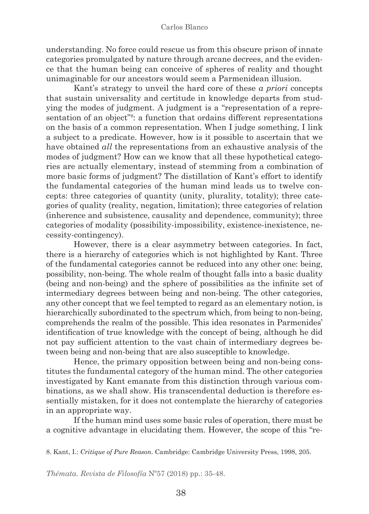understanding. No force could rescue us from this obscure prison of innate categories promulgated by nature through arcane decrees, and the evidence that the human being can conceive of spheres of reality and thought unimaginable for our ancestors would seem a Parmenidean illusion.

Kant's strategy to unveil the hard core of these *a priori* concepts that sustain universality and certitude in knowledge departs from studying the modes of judgment. A judgment is a "representation of a representation of an object"8 : a function that ordains different representations on the basis of a common representation. When I judge something, I link a subject to a predicate. However, how is it possible to ascertain that we have obtained *all* the representations from an exhaustive analysis of the modes of judgment? How can we know that all these hypothetical categories are actually elementary, instead of stemming from a combination of more basic forms of judgment? The distillation of Kant's effort to identify the fundamental categories of the human mind leads us to twelve concepts: three categories of quantity (unity, plurality, totality); three categories of quality (reality, negation, limitation); three categories of relation (inherence and subsistence, causality and dependence, community); three categories of modality (possibility-impossibility, existence-inexistence, necessity-contingency).

However, there is a clear asymmetry between categories. In fact, there is a hierarchy of categories which is not highlighted by Kant. Three of the fundamental categories cannot be reduced into any other one: being, possibility, non-being. The whole realm of thought falls into a basic duality (being and non-being) and the sphere of possibilities as the infinite set of intermediary degrees between being and non-being. The other categories, any other concept that we feel tempted to regard as an elementary notion, is hierarchically subordinated to the spectrum which, from being to non-being, comprehends the realm of the possible. This idea resonates in Parmenides' identification of true knowledge with the concept of being, although he did not pay sufficient attention to the vast chain of intermediary degrees between being and non-being that are also susceptible to knowledge.

Hence, the primary opposition between being and non-being constitutes the fundamental category of the human mind. The other categories investigated by Kant emanate from this distinction through various combinations, as we shall show. His transcendental deduction is therefore essentially mistaken, for it does not contemplate the hierarchy of categories in an appropriate way.

If the human mind uses some basic rules of operation, there must be a cognitive advantage in elucidating them. However, the scope of this "re-

8. Kant, I.: *Critique of Pure Reason.* Cambridge: Cambridge University Press, 1998, 205.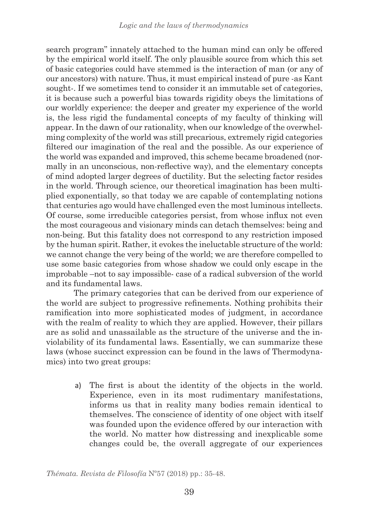search program" innately attached to the human mind can only be offered by the empirical world itself. The only plausible source from which this set of basic categories could have stemmed is the interaction of man (or any of our ancestors) with nature. Thus, it must empirical instead of pure -as Kant sought-. If we sometimes tend to consider it an immutable set of categories, it is because such a powerful bias towards rigidity obeys the limitations of our worldly experience: the deeper and greater my experience of the world is, the less rigid the fundamental concepts of my faculty of thinking will appear. In the dawn of our rationality, when our knowledge of the overwhelming complexity of the world was still precarious, extremely rigid categories filtered our imagination of the real and the possible. As our experience of the world was expanded and improved, this scheme became broadened (normally in an unconscious, non-reflective way), and the elementary concepts of mind adopted larger degrees of ductility. But the selecting factor resides in the world. Through science, our theoretical imagination has been multiplied exponentially, so that today we are capable of contemplating notions that centuries ago would have challenged even the most luminous intellects. Of course, some irreducible categories persist, from whose influx not even the most courageous and visionary minds can detach themselves: being and non-being. But this fatality does not correspond to any restriction imposed by the human spirit. Rather, it evokes the ineluctable structure of the world: we cannot change the very being of the world; we are therefore compelled to use some basic categories from whose shadow we could only escape in the improbable –not to say impossible- case of a radical subversion of the world and its fundamental laws.

The primary categories that can be derived from our experience of the world are subject to progressive refinements. Nothing prohibits their ramification into more sophisticated modes of judgment, in accordance with the realm of reality to which they are applied. However, their pillars are as solid and unassailable as the structure of the universe and the inviolability of its fundamental laws. Essentially, we can summarize these laws (whose succinct expression can be found in the laws of Thermodynamics) into two great groups:

> a) The first is about the identity of the objects in the world. Experience, even in its most rudimentary manifestations, informs us that in reality many bodies remain identical to themselves. The conscience of identity of one object with itself was founded upon the evidence offered by our interaction with the world. No matter how distressing and inexplicable some changes could be, the overall aggregate of our experiences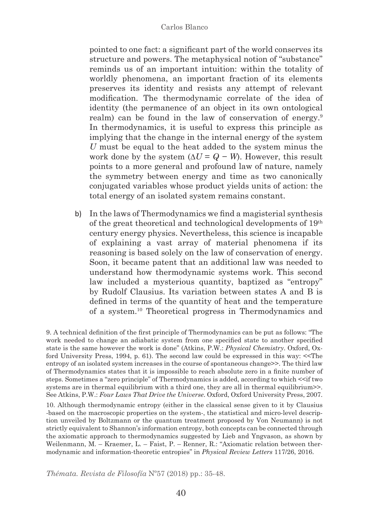pointed to one fact: a significant part of the world conserves its structure and powers. The metaphysical notion of "substance" reminds us of an important intuition: within the totality of worldly phenomena, an important fraction of its elements preserves its identity and resists any attempt of relevant modification. The thermodynamic correlate of the idea of identity (the permanence of an object in its own ontological realm) can be found in the law of conservation of energy.<sup>9</sup> In thermodynamics, it is useful to express this principle as implying that the change in the internal energy of the system *U* must be equal to the heat added to the system minus the work done by the system  $(\Delta U = Q - W)$ . However, this result points to a more general and profound law of nature, namely the symmetry between energy and time as two canonically conjugated variables whose product yields units of action: the total energy of an isolated system remains constant.

b) In the laws of Thermodynamics we find a magisterial synthesis of the great theoretical and technological developments of 19th century energy physics. Nevertheless, this science is incapable of explaining a vast array of material phenomena if its reasoning is based solely on the law of conservation of energy. Soon, it became patent that an additional law was needed to understand how thermodynamic systems work. This second law included a mysterious quantity, baptized as "entropy" by Rudolf Clausius. Its variation between states A and B is defined in terms of the quantity of heat and the temperature of a system. <sup>10</sup> Theoretical progress in Thermodynamics and

9. A technical definition of the first principle of Thermodynamics can be put as follows: "The work needed to change an adiabatic system from one specified state to another specified state is the same however the work is done" (Atkins, P.W.: *Physical Chemistry*. Oxford, Oxford University Press, 1994, p. 61). The second law could be expressed in this way: <<The entropy of an isolated system increases in the course of spontaneous change>>. The third law of Thermodynamics states that it is impossible to reach absolute zero in a finite number of steps. Sometimes a "zero principle" of Thermodynamics is added, according to which  $\leq$  if two systems are in thermal equilibrium with a third one, they are all in thermal equilibrium $\geq$ . See Atkins, P.W.: *Four Laws That Drive the Universe*. Oxford, Oxford University Press, 2007.

10. Although thermodynamic entropy (either in the classical sense given to it by Clausius -based on the macroscopic properties on the system-, the statistical and micro-level description unveiled by Boltzmann or the quantum treatment proposed by Von Neumann) is not strictly equivalent to Shannon's information entropy, both concepts can be connected through the axiomatic approach to thermodynamics suggested by Lieb and Yngvason, as shown by Weilenmann, M. – Kraemer, L. – Faist, P. – Renner, R.: "Axiomatic relation between thermodynamic and information-theoretic entropies" in *Physical Review Letters* 117/26, 2016.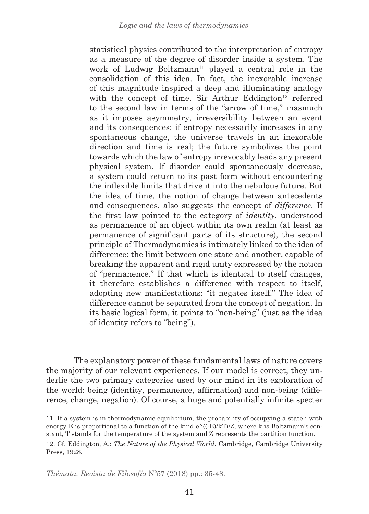statistical physics contributed to the interpretation of entropy as a measure of the degree of disorder inside a system. The work of Ludwig Boltzmann<sup>11</sup> played a central role in the consolidation of this idea. In fact, the inexorable increase of this magnitude inspired a deep and illuminating analogy with the concept of time. Sir Arthur Eddington<sup>12</sup> referred to the second law in terms of the "arrow of time," inasmuch as it imposes asymmetry, irreversibility between an event and its consequences: if entropy necessarily increases in any spontaneous change, the universe travels in an inexorable direction and time is real; the future symbolizes the point towards which the law of entropy irrevocably leads any present physical system. If disorder could spontaneously decrease, a system could return to its past form without encountering the inflexible limits that drive it into the nebulous future. But the idea of time, the notion of change between antecedents and consequences, also suggests the concept of *difference*. If the first law pointed to the category of *identity*, understood as permanence of an object within its own realm (at least as permanence of significant parts of its structure), the second principle of Thermodynamics is intimately linked to the idea of difference: the limit between one state and another, capable of breaking the apparent and rigid unity expressed by the notion of "permanence." If that which is identical to itself changes, it therefore establishes a difference with respect to itself, adopting new manifestations: "it negates itself." The idea of difference cannot be separated from the concept of negation. In its basic logical form, it points to "non-being" (just as the idea of identity refers to "being").

The explanatory power of these fundamental laws of nature covers the majority of our relevant experiences. If our model is correct, they underlie the two primary categories used by our mind in its exploration of the world: being (identity, permanence, affirmation) and non-being (difference, change, negation). Of course, a huge and potentially infinite specter

12. Cf. Eddington, A.: *The Nature of the Physical World*. Cambridge, Cambridge University Press, 1928.

<sup>11.</sup> If a system is in thermodynamic equilibrium, the probability of occupying a state i with energy E is proportional to a function of the kind  $e^{\wedge}((-E)/kT)/Z$ , where k is Boltzmann's constant, T stands for the temperature of the system and Z represents the partition function.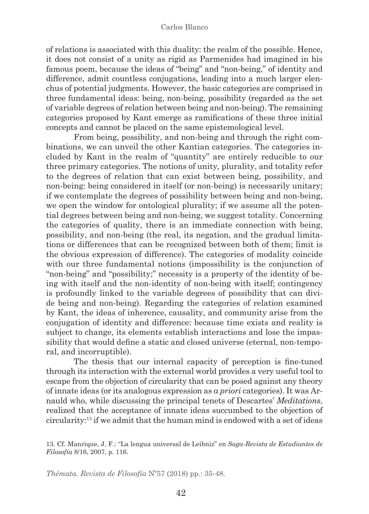of relations is associated with this duality: the realm of the possible. Hence, it does not consist of a unity as rigid as Parmenides had imagined in his famous poem, because the ideas of "being" and "non-being," of identity and difference, admit countless conjugations, leading into a much larger elenchus of potential judgments. However, the basic categories are comprised in three fundamental ideas: being, non-being, possibility (regarded as the set of variable degrees of relation between being and non-being). The remaining categories proposed by Kant emerge as ramifications of these three initial concepts and cannot be placed on the same epistemological level.

From being, possibility, and non-being and through the right combinations, we can unveil the other Kantian categories. The categories included by Kant in the realm of "quantity" are entirely reducible to our three primary categories. The notions of unity, plurality, and totality refer to the degrees of relation that can exist between being, possibility, and non-being: being considered in itself (or non-being) is necessarily unitary; if we contemplate the degrees of possibility between being and non-being, we open the window for ontological plurality; if we assume all the potential degrees between being and non-being, we suggest totality. Concerning the categories of quality, there is an immediate connection with being, possibility, and non-being (the real, its negation, and the gradual limitations or differences that can be recognized between both of them; limit is the obvious expression of difference). The categories of modality coincide with our three fundamental notions (impossibility is the conjunction of "non-being" and "possibility;" necessity is a property of the identity of being with itself and the non-identity of non-being with itself; contingency is profoundly linked to the variable degrees of possibility that can divide being and non-being). Regarding the categories of relation examined by Kant, the ideas of inherence, causality, and community arise from the conjugation of identity and difference: because time exists and reality is subject to change, its elements establish interactions and lose the impassibility that would define a static and closed universe (eternal, non-temporal, and incorruptible).

The thesis that our internal capacity of perception is fine-tuned through its interaction with the external world provides a very useful tool to escape from the objection of circularity that can be posed against any theory of innate ideas (or its analogous expression as *a priori* categories). It was Arnauld who, while discussing the principal tenets of Descartes' *Meditations*, realized that the acceptance of innate ideas succumbed to the objection of circularity:13 if we admit that the human mind is endowed with a set of ideas

<sup>13.</sup> Cf. Manrique, J. F.: "La lengua universal de Leibniz" en *Saga-Revista de Estudiantes de Filosofía* 8/16, 2007, p. 116.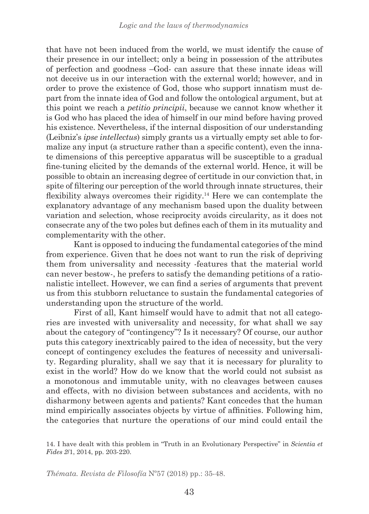that have not been induced from the world, we must identify the cause of their presence in our intellect; only a being in possession of the attributes of perfection and goodness –God- can assure that these innate ideas will not deceive us in our interaction with the external world; however, and in order to prove the existence of God, those who support innatism must depart from the innate idea of God and follow the ontological argument, but at this point we reach a *petitio principii*, because we cannot know whether it is God who has placed the idea of himself in our mind before having proved his existence. Nevertheless, if the internal disposition of our understanding (Leibniz's *ipse intellectus*) simply grants us a virtually empty set able to formalize any input (a structure rather than a specific content), even the innate dimensions of this perceptive apparatus will be susceptible to a gradual fine-tuning elicited by the demands of the external world. Hence, it will be possible to obtain an increasing degree of certitude in our conviction that, in spite of filtering our perception of the world through innate structures, their flexibility always overcomes their rigidity.<sup>14</sup> Here we can contemplate the explanatory advantage of any mechanism based upon the duality between variation and selection, whose reciprocity avoids circularity, as it does not consecrate any of the two poles but defines each of them in its mutuality and complementarity with the other.

Kant is opposed to inducing the fundamental categories of the mind from experience. Given that he does not want to run the risk of depriving them from universality and necessity -features that the material world can never bestow-, he prefers to satisfy the demanding petitions of a rationalistic intellect. However, we can find a series of arguments that prevent us from this stubborn reluctance to sustain the fundamental categories of understanding upon the structure of the world.

First of all, Kant himself would have to admit that not all categories are invested with universality and necessity, for what shall we say about the category of "contingency"? Is it necessary? Of course, our author puts this category inextricably paired to the idea of necessity, but the very concept of contingency excludes the features of necessity and universality. Regarding plurality, shall we say that it is necessary for plurality to exist in the world? How do we know that the world could not subsist as a monotonous and immutable unity, with no cleavages between causes and effects, with no division between substances and accidents, with no disharmony between agents and patients? Kant concedes that the human mind empirically associates objects by virtue of affinities. Following him, the categories that nurture the operations of our mind could entail the

14. I have dealt with this problem in "Truth in an Evolutionary Perspective" in *Scientia et Fides 2*/1, 2014, pp. 203-220.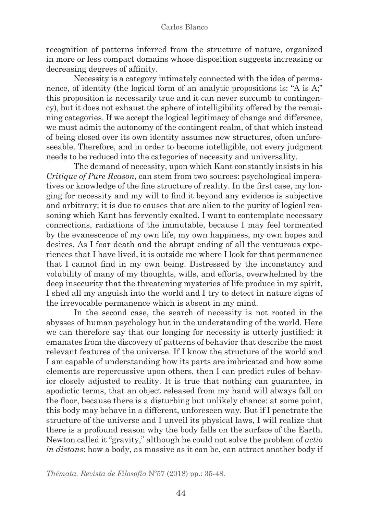recognition of patterns inferred from the structure of nature, organized in more or less compact domains whose disposition suggests increasing or decreasing degrees of affinity.

Necessity is a category intimately connected with the idea of permanence, of identity (the logical form of an analytic propositions is: "A is A;" this proposition is necessarily true and it can never succumb to contingency), but it does not exhaust the sphere of intelligibility offered by the remaining categories. If we accept the logical legitimacy of change and difference, we must admit the autonomy of the contingent realm, of that which instead of being closed over its own identity assumes new structures, often unforeseeable. Therefore, and in order to become intelligible, not every judgment needs to be reduced into the categories of necessity and universality.

The demand of necessity, upon which Kant constantly insists in his *Critique of Pure Reason*, can stem from two sources: psychological imperatives or knowledge of the fine structure of reality. In the first case, my longing for necessity and my will to find it beyond any evidence is subjective and arbitrary; it is due to causes that are alien to the purity of logical reasoning which Kant has fervently exalted. I want to contemplate necessary connections, radiations of the immutable, because I may feel tormented by the evanescence of my own life, my own happiness, my own hopes and desires. As I fear death and the abrupt ending of all the venturous experiences that I have lived, it is outside me where I look for that permanence that I cannot find in my own being. Distressed by the inconstancy and volubility of many of my thoughts, wills, and efforts, overwhelmed by the deep insecurity that the threatening mysteries of life produce in my spirit, I shed all my anguish into the world and I try to detect in nature signs of the irrevocable permanence which is absent in my mind.

In the second case, the search of necessity is not rooted in the abysses of human psychology but in the understanding of the world. Here we can therefore say that our longing for necessity is utterly justified: it emanates from the discovery of patterns of behavior that describe the most relevant features of the universe. If I know the structure of the world and I am capable of understanding how its parts are imbricated and how some elements are repercussive upon others, then I can predict rules of behavior closely adjusted to reality. It is true that nothing can guarantee, in apodictic terms, that an object released from my hand will always fall on the floor, because there is a disturbing but unlikely chance: at some point, this body may behave in a different, unforeseen way. But if I penetrate the structure of the universe and I unveil its physical laws, I will realize that there is a profound reason why the body falls on the surface of the Earth. Newton called it "gravity," although he could not solve the problem of *actio in distans*: how a body, as massive as it can be, can attract another body if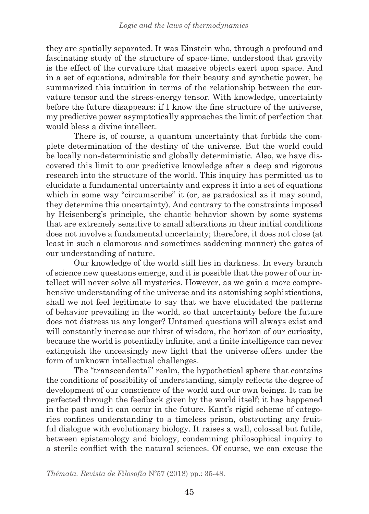they are spatially separated. It was Einstein who, through a profound and fascinating study of the structure of space-time, understood that gravity is the effect of the curvature that massive objects exert upon space. And in a set of equations, admirable for their beauty and synthetic power, he summarized this intuition in terms of the relationship between the curvature tensor and the stress-energy tensor. With knowledge, uncertainty before the future disappears: if I know the fine structure of the universe, my predictive power asymptotically approaches the limit of perfection that would bless a divine intellect.

There is, of course, a quantum uncertainty that forbids the complete determination of the destiny of the universe. But the world could be locally non-deterministic and globally deterministic. Also, we have discovered this limit to our predictive knowledge after a deep and rigorous research into the structure of the world. This inquiry has permitted us to elucidate a fundamental uncertainty and express it into a set of equations which in some way "circumscribe" it (or, as paradoxical as it may sound, they determine this uncertainty). And contrary to the constraints imposed by Heisenberg's principle, the chaotic behavior shown by some systems that are extremely sensitive to small alterations in their initial conditions does not involve a fundamental uncertainty; therefore, it does not close (at least in such a clamorous and sometimes saddening manner) the gates of our understanding of nature.

Our knowledge of the world still lies in darkness. In every branch of science new questions emerge, and it is possible that the power of our intellect will never solve all mysteries. However, as we gain a more comprehensive understanding of the universe and its astonishing sophistications, shall we not feel legitimate to say that we have elucidated the patterns of behavior prevailing in the world, so that uncertainty before the future does not distress us any longer? Untamed questions will always exist and will constantly increase our thirst of wisdom, the horizon of our curiosity, because the world is potentially infinite, and a finite intelligence can never extinguish the unceasingly new light that the universe offers under the form of unknown intellectual challenges.

The "transcendental" realm, the hypothetical sphere that contains the conditions of possibility of understanding, simply reflects the degree of development of our conscience of the world and our own beings. It can be perfected through the feedback given by the world itself; it has happened in the past and it can occur in the future. Kant's rigid scheme of categories confines understanding to a timeless prison, obstructing any fruitful dialogue with evolutionary biology. It raises a wall, colossal but futile, between epistemology and biology, condemning philosophical inquiry to a sterile conflict with the natural sciences. Of course, we can excuse the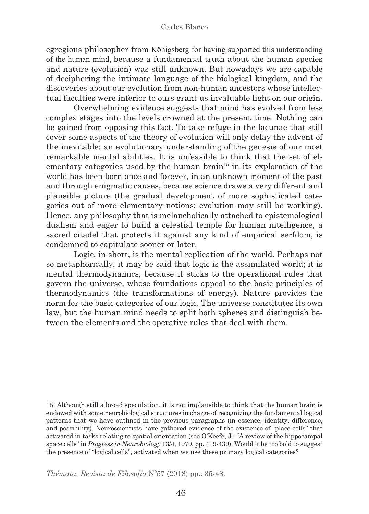egregious philosopher from Königsberg for having supported this understanding of the human mind, because a fundamental truth about the human species and nature (evolution) was still unknown. But nowadays we are capable of deciphering the intimate language of the biological kingdom, and the discoveries about our evolution from non-human ancestors whose intellectual faculties were inferior to ours grant us invaluable light on our origin.

Overwhelming evidence suggests that mind has evolved from less complex stages into the levels crowned at the present time. Nothing can be gained from opposing this fact. To take refuge in the lacunae that still cover some aspects of the theory of evolution will only delay the advent of the inevitable: an evolutionary understanding of the genesis of our most remarkable mental abilities. It is unfeasible to think that the set of elementary categories used by the human brain<sup>15</sup> in its exploration of the world has been born once and forever, in an unknown moment of the past and through enigmatic causes, because science draws a very different and plausible picture (the gradual development of more sophisticated categories out of more elementary notions; evolution may still be working). Hence, any philosophy that is melancholically attached to epistemological dualism and eager to build a celestial temple for human intelligence, a sacred citadel that protects it against any kind of empirical serfdom, is condemned to capitulate sooner or later.

Logic, in short, is the mental replication of the world. Perhaps not so metaphorically, it may be said that logic is the assimilated world; it is mental thermodynamics, because it sticks to the operational rules that govern the universe, whose foundations appeal to the basic principles of thermodynamics (the transformations of energy). Nature provides the norm for the basic categories of our logic. The universe constitutes its own law, but the human mind needs to split both spheres and distinguish between the elements and the operative rules that deal with them.

15. Although still a broad speculation, it is not implausible to think that the human brain is endowed with some neurobiological structures in charge of recognizing the fundamental logical patterns that we have outlined in the previous paragraphs (in essence, identity, difference, and possibility). Neuroscientists have gathered evidence of the existence of "place cells" that activated in tasks relating to spatial orientation (see O'Keefe, J.: "A review of the hippocampal space cells" in *Progress in Neurobiology* 13/4, 1979, pp. 419-439). Would it be too bold to suggest the presence of "logical cells", activated when we use these primary logical categories?